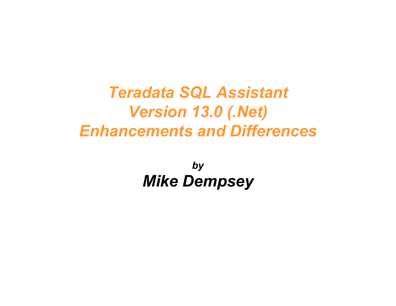## Teradata SQL Assistant Version 13.0 (.Net) Enhancements and Differences

by Mike Dempsey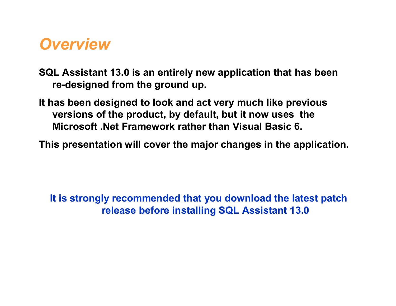#### **Overview**

SQL Assistant 13.0 is an entirely new application that has been re-designed from the ground up.

It has been designed to look and act very much like previous versions of the product, by default, but it now uses the Microsoft .Net Framework rather than Visual Basic 6.

This presentation will cover the major changes in the application.

It is strongly recommended that you download the latest patch release before installing SQL Assistant 13.0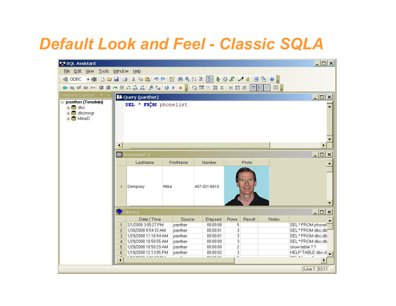## Default Look and Feel - Classic SQLA

| $ \Box$ $\times$<br>SQL Assistant                                            |                |                                                  |      |           |                       |             |        |       |                           |
|------------------------------------------------------------------------------|----------------|--------------------------------------------------|------|-----------|-----------------------|-------------|--------|-------|---------------------------|
| File Edit View Tools Window Help                                             |                |                                                  |      |           |                       |             |        |       |                           |
| <b>EODBC ▼ + + D D D D B B X D B D O P B A 4 公 R E &amp; O X A 0 B B O .</b> |                |                                                  |      |           |                       |             |        |       |                           |
|                                                                              |                |                                                  |      |           |                       |             |        |       |                           |
| Database Explorer 4                                                          |                |                                                  |      |           |                       |             |        |       |                           |
| panther (Teradata)                                                           |                | 2 Query (panther)<br>$ \Box$ $\times$            |      |           |                       |             |        |       |                           |
| 田目 dbc                                                                       |                | SEL * FROM phonelist                             |      |           |                       |             |        |       |                           |
| 日 dbcmngr                                                                    |                |                                                  |      |           |                       |             |        |       |                           |
| <b>⊞</b> MikeD                                                               |                |                                                  |      |           |                       |             |        |       |                           |
|                                                                              |                |                                                  |      |           |                       |             |        |       |                           |
|                                                                              |                |                                                  |      |           |                       |             |        |       |                           |
|                                                                              |                |                                                  |      |           |                       |             |        |       |                           |
|                                                                              | ◀              |                                                  |      |           |                       |             |        |       |                           |
|                                                                              | 器 Answerset 1  |                                                  |      |           | $- \Box $<br>$\times$ |             |        |       |                           |
|                                                                              |                | LastName                                         |      | FirstName | Number.               |             | Photo  |       |                           |
|                                                                              |                |                                                  |      |           |                       |             |        |       |                           |
|                                                                              |                |                                                  |      |           |                       |             |        |       |                           |
|                                                                              | $\overline{1}$ | Dempsey                                          | Mike |           | 407-321-6810          |             |        |       |                           |
|                                                                              |                |                                                  |      |           |                       |             |        |       |                           |
|                                                                              |                |                                                  |      |           |                       |             |        |       |                           |
|                                                                              |                |                                                  |      |           |                       |             |        |       |                           |
|                                                                              | ♦              | History                                          |      |           |                       |             |        |       | $ \Box$ $\times$          |
|                                                                              |                | Date / Time                                      |      | Source    | Elapsed               | Rows        | Result | Notes |                           |
|                                                                              | $\mathbf{1}$   | 2/1/2008 3:05:27 PM                              |      | panther   | 00:00:08              | 5           |        |       | SEL*FROM phone            |
|                                                                              | $\overline{2}$ | 1/30/2008 9:54:33 AM                             |      | panther   | 00:00:01              | 3           |        |       | SEL * FROM dbc.db*        |
|                                                                              | 3              | 1/29/2008 11:16:54 AM                            |      | panther   | 00:00:01              | 3           |        |       | SEL * FROM dbc.db         |
|                                                                              | $\overline{4}$ | 1/29/2008 10:50:55 AM                            |      | panther   | 00:00:00              | 3           |        |       | SEL*FROM dbc.db           |
|                                                                              | 5              | 1/28/2008 10:50:29 AM                            |      | panther   | 00:00:00              | 2           |        |       | show table ?.?            |
|                                                                              | 6              | 1/18/2008 12:13:05 PM<br><b>HEIGOOD LOCOTION</b> |      | panther   | 00:00:02<br>00.00.04  | 3<br>$\sim$ |        |       | HELP TABLE dbc.d<br>$n+1$ |
|                                                                              | ∢<br>▸         |                                                  |      |           |                       |             |        |       |                           |
|                                                                              |                |                                                  |      |           |                       |             |        |       | Line 1 03:11              |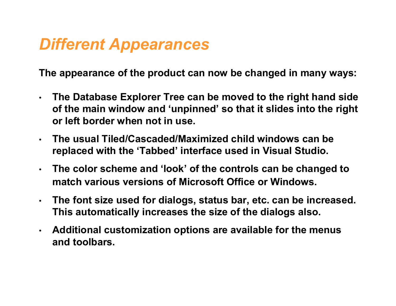## Different Appearances

The appearance of the product can now be changed in many ways:

- The Database Explorer Tree can be moved to the right hand side of the main window and 'unpinned' so that it slides into the right or left border when not in use.
- The usual Tiled/Cascaded/Maximized child windows can be replaced with the 'Tabbed' interface used in Visual Studio.
- The color scheme and 'look' of the controls can be changed to match various versions of Microsoft Office or Windows.
- The font size used for dialogs, status bar, etc. can be increased. This automatically increases the size of the dialogs also.
- Additional customization options are available for the menus and toolbars.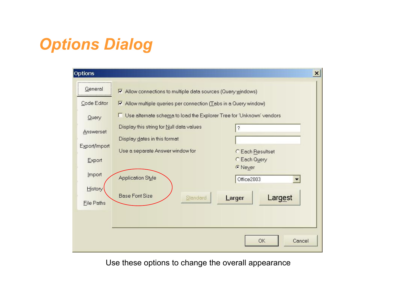# Options Dialog

| Options           |                                                                                 | $\vert x \vert$              |  |
|-------------------|---------------------------------------------------------------------------------|------------------------------|--|
| General           | $\triangleright$ Allow connections to multiple data sources (Query windows)     |                              |  |
| Code Editor       | $\triangleright$ Allow multiple queries per connection (Tabs in a Query window) |                              |  |
| Query             | Use alternate schema to load the Explorer Tree for 'Unknown' vendors            |                              |  |
| Answerset         | Display this string for Null data values                                        | 2                            |  |
| Export/Import     | Display dates in this format<br>Use a separate Answer window for                | C Each Resultset             |  |
| Export            |                                                                                 | C Each Query                 |  |
| Import            | Application Style                                                               | <b>C</b> Never<br>Office2003 |  |
| History           |                                                                                 |                              |  |
| <b>File Paths</b> | <b>Base Font Size</b><br>Standard                                               | Largest<br>Larger            |  |
|                   |                                                                                 |                              |  |
|                   |                                                                                 |                              |  |
|                   |                                                                                 | <b>OK</b><br>Cancel          |  |

Use these options to change the overall appearance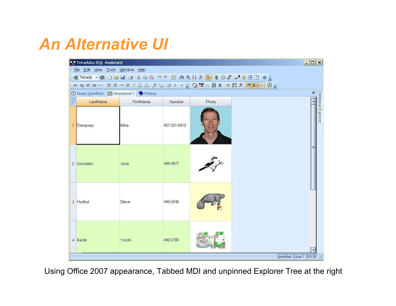## An Alternative UI

| $ \Box$ $\times$<br>Teradata SQL Assistant |           |              |       |  |                         |
|--------------------------------------------|-----------|--------------|-------|--|-------------------------|
| File Edit View Tools Window Help           |           |              |       |  |                         |
|                                            |           |              |       |  |                         |
|                                            |           |              |       |  |                         |
| ① Query (panther) 图 Answerset 1 ● History  |           |              |       |  | $\overline{\mathbf{x}}$ |
| LastName                                   | FirstName | Number       | Photo |  |                         |
| 1 Dempsey                                  | Mike      | 407-321-6810 |       |  | Database Explorer       |
| 2 Gonzalez                                 | Jose      | 440-4977     |       |  |                         |
| 3 Hurlbut                                  | Steve     | 440-2846     |       |  |                         |
| 4 Ikeda                                    | Yoichi    | 440-2700     |       |  | panther Line 1 03:38 .: |

Using Office 2007 appearance, Tabbed MDI and unpinned Explorer Tree at the right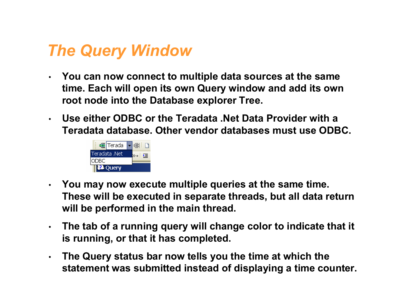## The Query Window

- You can now connect to multiple data sources at the same time. Each will open its own Query window and add its own root node into the Database explorer Tree.
- Use either ODBC or the Teradata .Net Data Provider with a Teradata database. Other vendor databases must use ODBC.



- You may now execute multiple queries at the same time. These will be executed in separate threads, but all data return will be performed in the main thread.
- The tab of a running query will change color to indicate that it is running, or that it has completed.
- The Query status bar now tells you the time at which the statement was submitted instead of displaying a time counter.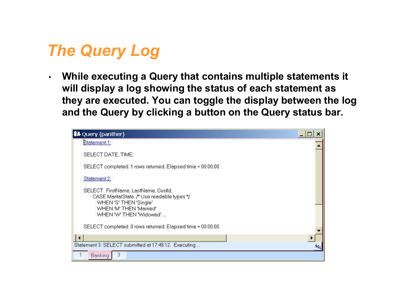## The Query Log

• While executing a Query that contains multiple statements it will display a log showing the status of each statement as they are executed. You can toggle the display between the log and the Query by clicking a button on the Query status bar.

| <b>22</b> Query (panther)                                                                                                                                         |     |
|-------------------------------------------------------------------------------------------------------------------------------------------------------------------|-----|
| Statement 1:                                                                                                                                                      |     |
| SELECT DATE, TIME;                                                                                                                                                |     |
| SELECT completed, 1 rows returned, Elapsed time = 00:00:00                                                                                                        |     |
| Statement 2:                                                                                                                                                      |     |
| SELECT FirstName, LastName, CustId,<br>CASE MaritalState /* Use readable types */<br>WHEN 'S' THEN 'Single'<br>WHEN 'M' THEN 'Married'<br>WHEN 'W' THEN 'Widowed' |     |
| SELECT completed. 0 rows returned. Elapsed time = 00:00:00                                                                                                        |     |
|                                                                                                                                                                   |     |
| Statement 3: SELECT submitted at 17:48:12. Executing                                                                                                              | saL |
| 3<br>Banking                                                                                                                                                      |     |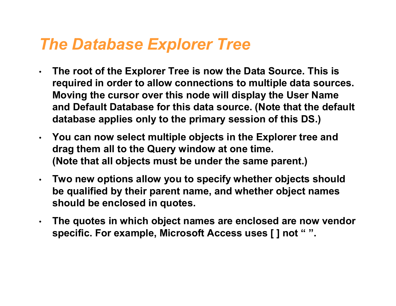### The Database Explorer Tree

- The root of the Explorer Tree is now the Data Source. This is required in order to allow connections to multiple data sources. Moving the cursor over this node will display the User Name and Default Database for this data source. (Note that the default database applies only to the primary session of this DS.)
- You can now select multiple objects in the Explorer tree and drag them all to the Query window at one time. (Note that all objects must be under the same parent.)
- Two new options allow you to specify whether objects should be qualified by their parent name, and whether object names should be enclosed in quotes.
- The quotes in which object names are enclosed are now vendor specific. For example, Microsoft Access uses [ ] not " ".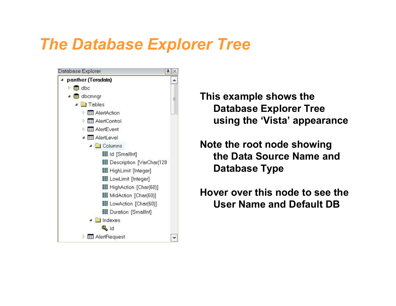### The Database Explorer Tree



This example shows the Database Explorer Tree using the 'Vista' appearance

Note the root node showing the Data Source Name and Database Type

Hover over this node to see the User Name and Default DB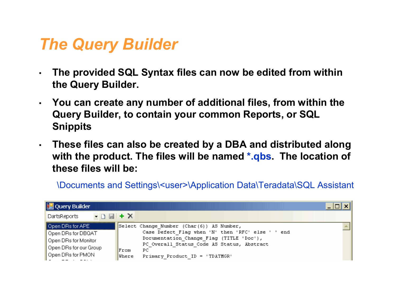## The Query Builder

- The provided SQL Syntax files can now be edited from within the Query Builder.
- You can create any number of additional files, from within the Query Builder, to contain your common Reports, or SQL **Snippits**
- These files can also be created by a DBA and distributed along with the product. The files will be named \*.qbs. The location of these files will be:

\Documents and Settings\<user>\Application Data\Teradata\SQL Assistant

| Query Builder                       |              |                                                   |  |
|-------------------------------------|--------------|---------------------------------------------------|--|
| DartsReports $\bullet$ D $\Box$ + X |              |                                                   |  |
| Open DRs for APE                    |              | Select Change Number (Char(6)) AS Number,         |  |
| Open DRs for DBQAT                  |              | Case Defect Flag when 'N' then 'RFC' else ' ' end |  |
| Open DRs for Monitor                |              | Documentation Change Flag (TITLE 'Doc'),          |  |
| Open DRs for our Group              |              | PC Overall Status Code AS Status, Abstract        |  |
|                                     | From         | РC                                                |  |
| Open DRs for PMON                   | <b>Where</b> | Primary Product ID = 'TDATMGR'                    |  |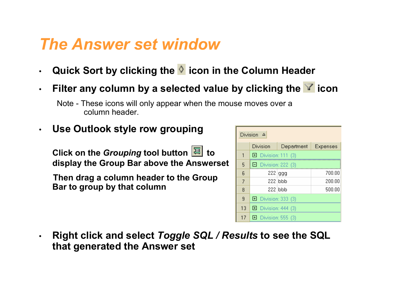## The Answer set window

- Quick Sort by clicking the  $\Diamond$  icon in the Column Header
- Filter any column by a selected value by clicking the  $\blacksquare$  icon

• Use Outlook style row grouping

Click on the Grouping tool button  $\boxed{\Xi}$  to display the Group Bar above the Answerset

Then drag a column header to the Group Bar to group by that column

|                          | Division A          |                     |          |  |  |
|--------------------------|---------------------|---------------------|----------|--|--|
|                          | Division            | Department          | Expenses |  |  |
|                          |                     | 田 Division: 111 (3) |          |  |  |
| 5                        | ■ Division: 222 (3) |                     |          |  |  |
| 6                        |                     | $222$ ggg           | 700.00   |  |  |
| $\overline{\mathcal{L}}$ |                     | 222 lbbb            | 200.00   |  |  |
| 8                        |                     | 222 lbbb            | 500.00   |  |  |
| 9                        | 田 Division: 333 (3) |                     |          |  |  |
| 13                       | 田 Division: 444 (3) |                     |          |  |  |
| 17                       | 田 Division: 555 (3) |                     |          |  |  |

• Right click and select Toggle SQL / Results to see the SQL that generated the Answer set

Note - These icons will only appear when the mouse moves over a column header.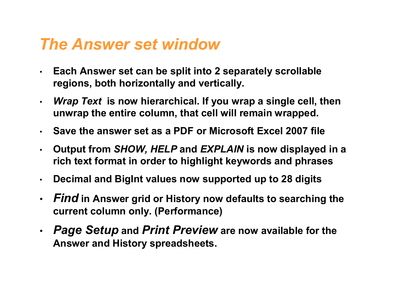### The Answer set window

- Each Answer set can be split into 2 separately scrollable regions, both horizontally and vertically.
- *Wrap Text* is now hierarchical. If you wrap a single cell, then unwrap the entire column, that cell will remain wrapped.
- Save the answer set as a PDF or Microsoft Excel 2007 file
- Output from SHOW, HELP and EXPLAIN is now displayed in a rich text format in order to highlight keywords and phrases
- Decimal and BigInt values now supported up to 28 digits
- Find in Answer grid or History now defaults to searching the current column only. (Performance)
- Page Setup and Print Preview are now available for the Answer and History spreadsheets.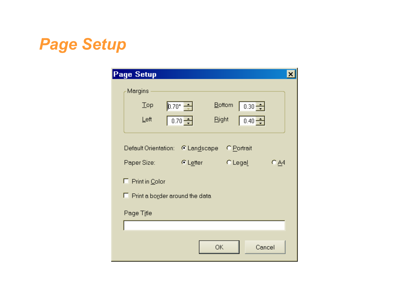## Page Setup

| <b>Page Setup</b>                                                                                                               |                                           |                                                                                  | ×      |  |
|---------------------------------------------------------------------------------------------------------------------------------|-------------------------------------------|----------------------------------------------------------------------------------|--------|--|
| Margins<br>$\text{Top}$<br>Left                                                                                                 | $\sqrt{0.70}$ $\rightarrow$<br>$0.70 - 1$ | <b>Bottom</b><br>$0.30 - 1$<br><u>R</u> ight<br>$\frac{1}{2}$ 0.40 $\frac{1}{2}$ |        |  |
| Default Orientation:<br>C Landscape<br>C Portrait<br>Paper Size:<br>$C$ Legal<br><b>⊙</b> Letter<br>€ ∆4<br>г<br>Print in Color |                                           |                                                                                  |        |  |
| $\Box$ Print a border around the data<br>Page Title                                                                             |                                           |                                                                                  |        |  |
|                                                                                                                                 | ОК                                        |                                                                                  | Cancel |  |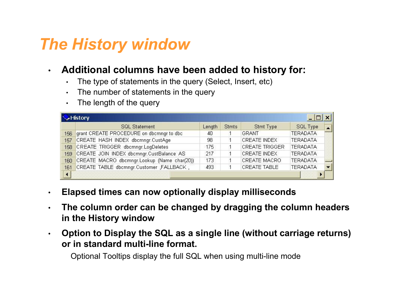## The History window

#### • Additional columns have been added to history for:

- The type of statements in the query (Select, Insert, etc)
- The number of statements in the query
- The length of the query

|     | History                                         |        |              |                       |                 |  |
|-----|-------------------------------------------------|--------|--------------|-----------------------|-----------------|--|
|     | <b>SQL Statement</b>                            | Length | <b>Stmts</b> | <b>Stmt Type</b>      | SQL Type        |  |
| 156 | grant CREATE PROCEDURE on dbcmngr to dbc        | 40     |              | GRANT                 | <b>TERADATA</b> |  |
| 157 | CREATE HASH INDEX dbcmngr.CustAge               | 98     |              | <b>CREATE INDEX</b>   | <b>TERADATA</b> |  |
|     | 158 CREATE TRIGGER dbcmngr.LogDeletes           | 175    |              | <b>CREATE TRIGGER</b> | <b>TERADATA</b> |  |
| 159 | CREATE JOIN INDEX dbcmngr.CustBalance AS        | 217    |              | <b>CREATE INDEX</b>   | <b>TERADATA</b> |  |
|     | 160 CREATE MACRO dbcmngr.Lookup (Name char(20)) | 173    |              | CREATE MACRO          | <b>TERADATA</b> |  |
| 161 | CREATE TABLE dbcmngr.Customer ,FALLBACK,        | 493    |              | <b>CREATE TABLE</b>   | <b>TERADATA</b> |  |
|     |                                                 |        |              |                       |                 |  |

- Elapsed times can now optionally display milliseconds
- $\cdot$  The column order can be changed by dragging the column headers in the History window
- Option to Display the SQL as a single line (without carriage returns) or in standard multi-line format.

Optional Tooltips display the full SQL when using multi-line mode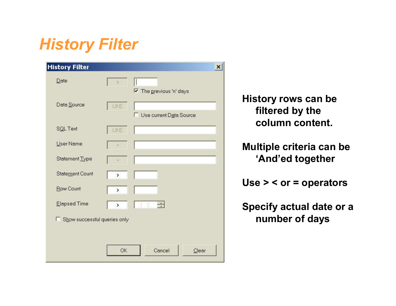## History Filter

| <b>History Filter</b>        |                   | $\boldsymbol{\mathsf{x}}$ |
|------------------------------|-------------------|---------------------------|
| Date                         | $\,$              | Ⅳ The previous 'n' days   |
| Data Source                  | LIKE              | Use current Data Source   |
| SQL Text                     | LIKE              |                           |
| User Name                    |                   |                           |
| Statement Type               | $=$               |                           |
| Statement Count              | $\mathbf{\hat{}}$ |                           |
| Row Count                    | $\mathbf{\hat{}}$ |                           |
| Elapsed Time                 | $\mathbf{\hat{}}$ | $\div$<br>第 章             |
| Show successful queries only |                   |                           |
|                              |                   |                           |
|                              | <b>OK</b>         | Cancel<br>Clear           |

History rows can be filtered by the column content.

Multiple criteria can be 'And'ed together

Use > < or = operators

Specify actual date or a number of days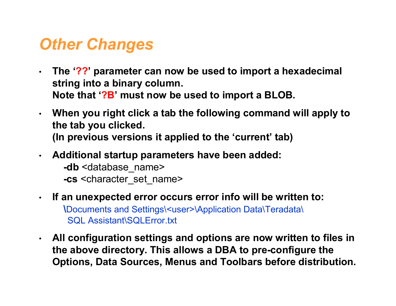### **Other Changes**

- $\cdot$  The '??' parameter can now be used to import a hexadecimal string into a binary column. Note that '?B' must now be used to import a BLOB.
- When you right click a tab the following command will apply to the tab you clicked. (In previous versions it applied to the 'current' tab)
- Additional startup parameters have been added:
	- -db <database\_name> -cs <character\_set\_name>
- If an unexpected error occurs error info will be written to: \Documents and Settings\<user>\Application Data\Teradata\ SQL Assistant\SQLError.txt
- All configuration settings and options are now written to files in the above directory. This allows a DBA to pre-configure the Options, Data Sources, Menus and Toolbars before distribution.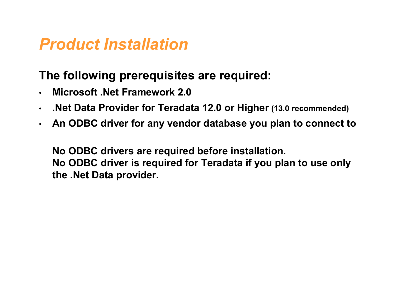### Product Installation

#### The following prerequisites are required:

- Microsoft .Net Framework 2.0
- .Net Data Provider for Teradata 12.0 or Higher (13.0 recommended)
- An ODBC driver for any vendor database you plan to connect to

No ODBC drivers are required before installation. No ODBC driver is required for Teradata if you plan to use only the .Net Data provider.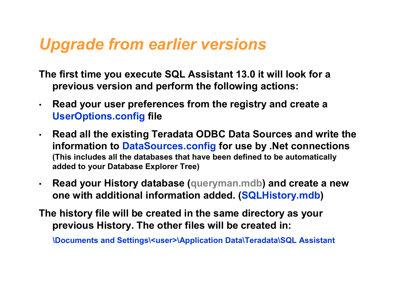## Upgrade from earlier versions

- The first time you execute SQL Assistant 13.0 it will look for a previous version and perform the following actions:
- Read your user preferences from the registry and create a UserOptions.config file
- Read all the existing Teradata ODBC Data Sources and write the information to DataSources.config for use by .Net connections (This includes all the databases that have been defined to be automatically added to your Database Explorer Tree)
- Read your History database (queryman.mdb) and create a new one with additional information added. (SQLHistory.mdb)
- The history file will be created in the same directory as your previous History. The other files will be created in:

\Documents and Settings\<user>\Application Data\Teradata\SQL Assistant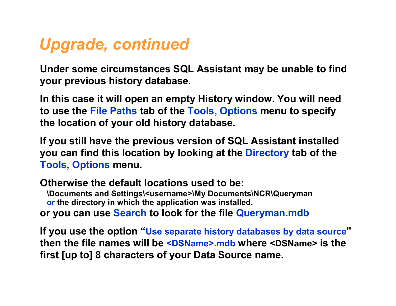## Upgrade, continued

Under some circumstances SQL Assistant may be unable to find your previous history database.

In this case it will open an empty History window. You will need to use the File Paths tab of the Tools, Options menu to specify the location of your old history database.

If you still have the previous version of SQL Assistant installed you can find this location by looking at the Directory tab of the Tools, Options menu.

Otherwise the default locations used to be: \Documents and Settings\<username>\My Documents\NCR\Queryman or the directory in which the application was installed. or you can use Search to look for the file Queryman.mdb

If you use the option "Use separate history databases by data source" then the file names will be <DSName>.mdb where <DSName> is the first [up to] 8 characters of your Data Source name.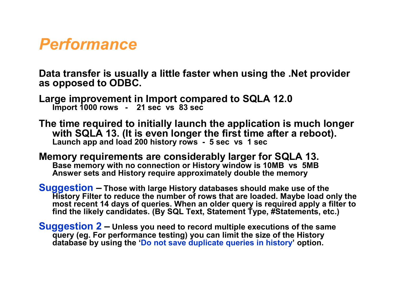### Performance

Data transfer is usually a little faster when using the .Net provider as opposed to ODBC.

Large improvement in Import compared to SQLA 12.0 Import 1000 rows - 21 sec vs 83 sec

The time required to initially launch the application is much longer with SQLA 13. (It is even longer the first time after a reboot). Launch app and load 200 history rows - 5 sec vs 1 sec

Memory requirements are considerably larger for SQLA 13. Base memory with no connection or History window is 10MB vs 5MB Answer sets and History require approximately double the memory

Suggestion – Those with large History databases should make use of the History Filter to reduce the number of rows that are loaded. Maybe load only the most recent 14 days of queries. When an older query is required apply a filter to find the likely candidates. (By SQL Text, Statement Type, #Statements, etc.)

Suggestion 2 – Unless you need to record multiple executions of the same query (eg. For performance testing) you can limit the size of the History database by using the 'Do not save duplicate queries in history' option.